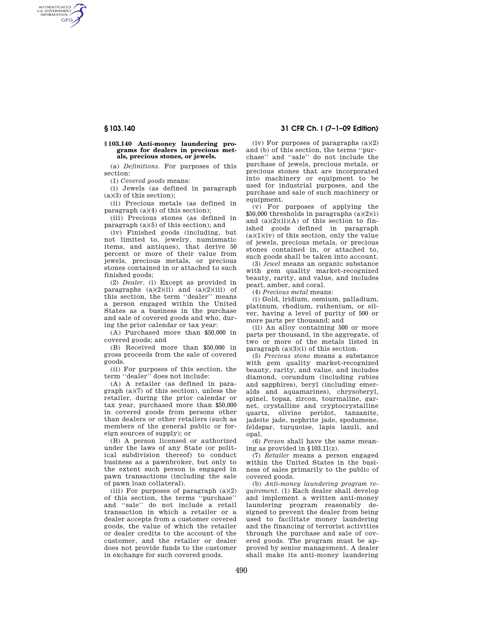AUTHENTICATED<br>U.S. GOVERNMENT<br>INFORMATION **GPO** 

### **§ 103.140 Anti-money laundering programs for dealers in precious metals, precious stones, or jewels.**

(a) *Definitions.* For purposes of this section:

(1) *Covered goods* means:

(i) Jewels (as defined in paragraph  $(a)(3)$  of this section);

(ii) Precious metals (as defined in paragraph (a)(4) of this section);

(iii) Precious stones (as defined in paragraph (a)(5) of this section); and

(iv) Finished goods (including, but not limited to, jewelry, numismatic items, and antiques), that derive 50 percent or more of their value from jewels, precious metals, or precious stones contained in or attached to such finished goods;

(2) *Dealer.* (i) Except as provided in paragraphs  $(a)(2)(ii)$  and  $(a)(2)(iii)$  of this section, the term ''dealer'' means a person engaged within the United States as a business in the purchase and sale of covered goods and who, during the prior calendar or tax year:

(A) Purchased more than \$50,000 in covered goods; and

(B) Received more than \$50,000 in gross proceeds from the sale of covered goods.

(ii) For purposes of this section, the term ''dealer'' does not include:

(A) A retailer (as defined in paragraph (a)(7) of this section), unless the retailer, during the prior calendar or tax year, purchased more than \$50,000 in covered goods from persons other than dealers or other retailers (such as members of the general public or foreign sources of supply); or

(B) A person licensed or authorized under the laws of any State (or political subdivision thereof) to conduct business as a pawnbroker, but only to the extent such person is engaged in pawn transactions (including the sale of pawn loan collateral).

(iii) For purposes of paragraph  $(a)(2)$ of this section, the terms ''purchase'' and ''sale'' do not include a retail transaction in which a retailer or a dealer accepts from a customer covered goods, the value of which the retailer or dealer credits to the account of the customer, and the retailer or dealer does not provide funds to the customer in exchange for such covered goods.

## **§ 103.140 31 CFR Ch. I (7–1–09 Edition)**

(iv) For purposes of paragraphs  $(a)(2)$ and (b) of this section, the terms ''purchase'' and ''sale'' do not include the purchase of jewels, precious metals, or precious stones that are incorporated into machinery or equipment to be used for industrial purposes, and the purchase and sale of such machinery or equipment.

(v) For purposes of applying the  $$50,000$  thresholds in paragraphs  $(a)(2)(i)$ and  $(a)(2)(ii)(A)$  of this section to finished goods defined in paragraph  $(a)(1)(iv)$  of this section, only the value of jewels, precious metals, or precious stones contained in, or attached to, such goods shall be taken into account.

(3) *Jewel* means an organic substance with gem quality market-recognized beauty, rarity, and value, and includes pearl, amber, and coral.

(4) *Precious metal* means:

(i) Gold, iridium, osmium, palladium, platinum, rhodium, ruthenium, or silver, having a level of purity of 500 or more parts per thousand; and

(ii) An alloy containing 500 or more parts per thousand, in the aggregate, of two or more of the metals listed in paragraph (a)(3)(i) of this section.

(5) *Precious stone* means a substance with gem quality market-recognized beauty, rarity, and value, and includes diamond, corundum (including rubies and sapphires), beryl (including emeralds and aquamarines), chrysoberyl, spinel, topaz, zircon, tourmaline, garnet, crystalline and cryptocrystalline quartz, olivine peridot, tanzanite, jadeite jade, nephrite jade, spodumene, feldspar, turquoise, lapis lazuli, and opal.

(6) *Person* shall have the same meaning as provided in §103.11(z).

(7) *Retailer* means a person engaged within the United States in the business of sales primarily to the public of covered goods.

(b) *Anti-money laundering program requirement.* (1) Each dealer shall develop and implement a written anti-money laundering program reasonably designed to prevent the dealer from being used to facilitate money laundering and the financing of terrorist activities through the purchase and sale of covered goods. The program must be approved by senior management. A dealer shall make its anti-money laundering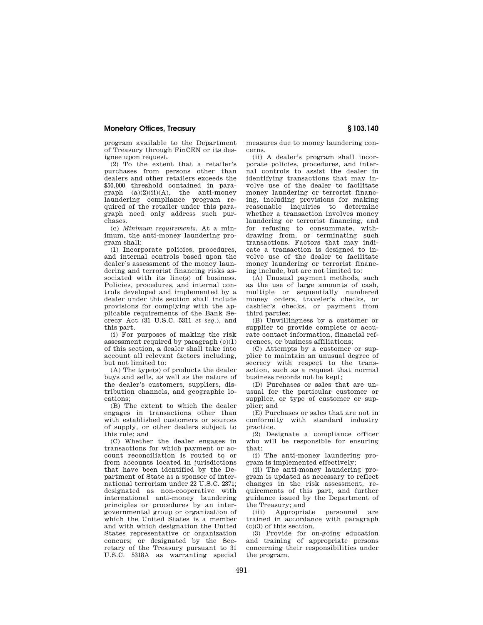## **Monetary Offices, Treasury § 103.140**

program available to the Department of Treasury through FinCEN or its designee upon request.

(2) To the extent that a retailer's purchases from persons other than dealers and other retailers exceeds the \$50,000 threshold contained in paragraph  $(a)(2)(ii)(A)$ , the anti-money laundering compliance program required of the retailer under this paragraph need only address such purchases.

(c) *Minimum requirements.* At a minimum, the anti-money laundering program shall:

(1) Incorporate policies, procedures, and internal controls based upon the dealer's assessment of the money laundering and terrorist financing risks associated with its line(s) of business. Policies, procedures, and internal controls developed and implemented by a dealer under this section shall include provisions for complying with the applicable requirements of the Bank Secrecy Act (31 U.S.C. 5311 *et seq.*), and this part.

(i) For purposes of making the risk assessment required by paragraph (c)(1) of this section, a dealer shall take into account all relevant factors including, but not limited to:

(A) The type(s) of products the dealer buys and sells, as well as the nature of the dealer's customers, suppliers, distribution channels, and geographic locations;

(B) The extent to which the dealer engages in transactions other than with established customers or sources of supply, or other dealers subject to this rule; and

(C) Whether the dealer engages in transactions for which payment or account reconciliation is routed to or from accounts located in jurisdictions that have been identified by the Department of State as a sponsor of international terrorism under 22 U.S.C. 2371; designated as non-cooperative with international anti-money laundering principles or procedures by an intergovernmental group or organization of which the United States is a member and with which designation the United States representative or organization concurs; or designated by the Secretary of the Treasury pursuant to 31 U.S.C. 5318A as warranting special

measures due to money laundering concerns.

(ii) A dealer's program shall incorporate policies, procedures, and internal controls to assist the dealer in identifying transactions that may involve use of the dealer to facilitate money laundering or terrorist financing, including provisions for making reasonable inquiries to determine whether a transaction involves money laundering or terrorist financing, and for refusing to consummate, withdrawing from, or terminating such transactions. Factors that may indicate a transaction is designed to involve use of the dealer to facilitate money laundering or terrorist financing include, but are not limited to:

(A) Unusual payment methods, such as the use of large amounts of cash, multiple or sequentially numbered money orders, traveler's checks, or cashier's checks, or payment from third parties;

(B) Unwillingness by a customer or supplier to provide complete or accurate contact information, financial references, or business affiliations;

(C) Attempts by a customer or supplier to maintain an unusual degree of secrecy with respect to the transaction, such as a request that normal business records not be kept;

(D) Purchases or sales that are unusual for the particular customer or supplier, or type of customer or supplier; and

(E) Purchases or sales that are not in conformity with standard industry practice.

(2) Designate a compliance officer who will be responsible for ensuring that:

(i) The anti-money laundering program is implemented effectively;

(ii) The anti-money laundering program is updated as necessary to reflect changes in the risk assessment, requirements of this part, and further guidance issued by the Department of the Treasury; and<br>(iii) Appropriate

(iii) Appropriate personnel are trained in accordance with paragraph (c)(3) of this section.

(3) Provide for on-going education and training of appropriate persons concerning their responsibilities under the program.